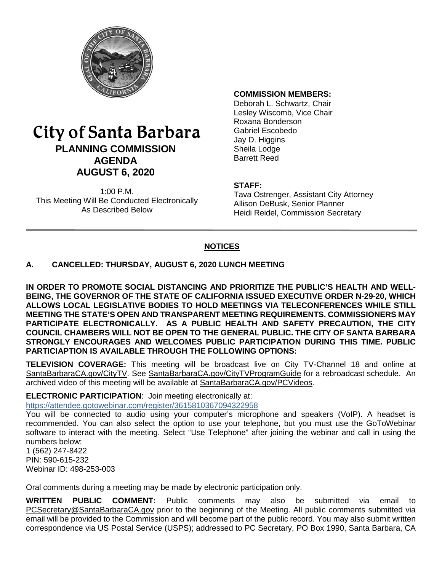

# City of Santa Barbara **PLANNING COMMISSION AGENDA AUGUST 6, 2020**

1:00 P.M. This Meeting Will Be Conducted Electronically As Described Below

#### **COMMISSION MEMBERS:**

Deborah L. Schwartz, Chair Lesley Wiscomb, Vice Chair Roxana Bonderson Gabriel Escobedo Jay D. Higgins Sheila Lodge Barrett Reed

#### **STAFF:**

Tava Ostrenger, Assistant City Attorney Allison DeBusk, Senior Planner Heidi Reidel, Commission Secretary

#### **NOTICES**

#### **A. CANCELLED: THURSDAY, AUGUST 6, 2020 LUNCH MEETING**

**IN ORDER TO PROMOTE SOCIAL DISTANCING AND PRIORITIZE THE PUBLIC'S HEALTH AND WELL-BEING, THE GOVERNOR OF THE STATE OF CALIFORNIA ISSUED EXECUTIVE ORDER N-29-20, WHICH ALLOWS LOCAL LEGISLATIVE BODIES TO HOLD MEETINGS VIA TELECONFERENCES WHILE STILL MEETING THE STATE'S OPEN AND TRANSPARENT MEETING REQUIREMENTS. COMMISSIONERS MAY PARTICIPATE ELECTRONICALLY. AS A PUBLIC HEALTH AND SAFETY PRECAUTION, THE CITY COUNCIL CHAMBERS WILL NOT BE OPEN TO THE GENERAL PUBLIC. THE CITY OF SANTA BARBARA STRONGLY ENCOURAGES AND WELCOMES PUBLIC PARTICIPATION DURING THIS TIME. PUBLIC PARTICIAPTION IS AVAILABLE THROUGH THE FOLLOWING OPTIONS:**

**TELEVISION COVERAGE:** This meeting will be broadcast live on City TV-Channel 18 and online at [SantaBarbaraCA.gov/CityTV.](http://www.santabarbaraca.gov/CityTV) See [SantaBarbaraCA.gov/CityTVProgramGuide](http://www.santabarbaraca.gov/CityTVProgramGuide) for a rebroadcast schedule. An archived video of this meeting will be available at [SantaBarbaraCA.gov/PCVideos.](http://www.santabarbaraca.gov/PCVideos)

#### **ELECTRONIC PARTICIPATION**: Join meeting electronically at:

<https://attendee.gotowebinar.com/register/3615810367094322958>

You will be connected to audio using your computer's microphone and speakers (VoIP). A headset is recommended. You can also select the option to use your telephone, but you must use the GoToWebinar software to interact with the meeting. Select "Use Telephone" after joining the webinar and call in using the numbers below:

1 (562) 247-8422 PIN: 590-615-232 Webinar ID: 498-253-003

Oral comments during a meeting may be made by electronic participation only.

**WRITTEN PUBLIC COMMENT:** Public comments may also be submitted via email [PCSecretary@SantaBarbaraCA.gov](mailto:PCSecretary@SantaBarbaraCA.gov) prior to the beginning of the Meeting. All public comments submitted via email will be provided to the Commission and will become part of the public record. You may also submit written correspondence via US Postal Service (USPS); addressed to PC Secretary, PO Box 1990, Santa Barbara, CA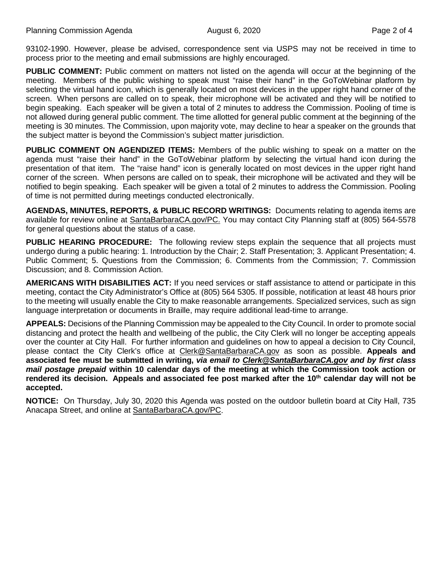93102-1990. However, please be advised, correspondence sent via USPS may not be received in time to process prior to the meeting and email submissions are highly encouraged.

**PUBLIC COMMENT:** Public comment on matters not listed on the agenda will occur at the beginning of the meeting. Members of the public wishing to speak must "raise their hand" in the GoToWebinar platform by selecting the virtual hand icon, which is generally located on most devices in the upper right hand corner of the screen. When persons are called on to speak, their microphone will be activated and they will be notified to begin speaking. Each speaker will be given a total of 2 minutes to address the Commission. Pooling of time is not allowed during general public comment. The time allotted for general public comment at the beginning of the meeting is 30 minutes. The Commission, upon majority vote, may decline to hear a speaker on the grounds that the subject matter is beyond the Commission's subject matter jurisdiction.

**PUBLIC COMMENT ON AGENDIZED ITEMS:** Members of the public wishing to speak on a matter on the agenda must "raise their hand" in the GoToWebinar platform by selecting the virtual hand icon during the presentation of that item. The "raise hand" icon is generally located on most devices in the upper right hand corner of the screen. When persons are called on to speak, their microphone will be activated and they will be notified to begin speaking. Each speaker will be given a total of 2 minutes to address the Commission. Pooling of time is not permitted during meetings conducted electronically.

**AGENDAS, MINUTES, REPORTS, & PUBLIC RECORD WRITINGS:** Documents relating to agenda items are available for review online at [SantaBarbaraCA.gov/PC.](http://www.santabarbaraca.gov/PC) You may contact City Planning staff at (805) 564-5578 for general questions about the status of a case.

**PUBLIC HEARING PROCEDURE:** The following review steps explain the sequence that all projects must undergo during a public hearing: 1. Introduction by the Chair; 2. Staff Presentation; 3. Applicant Presentation; 4. Public Comment; 5. Questions from the Commission; 6. Comments from the Commission; 7. Commission Discussion; and 8. Commission Action.

**AMERICANS WITH DISABILITIES ACT:** If you need services or staff assistance to attend or participate in this meeting, contact the City Administrator's Office at (805) 564 5305. If possible, notification at least 48 hours prior to the meeting will usually enable the City to make reasonable arrangements. Specialized services, such as sign language interpretation or documents in Braille, may require additional lead-time to arrange.

**APPEALS:** Decisions of the Planning Commission may be appealed to the City Council. In order to promote social distancing and protect the health and wellbeing of the public, the City Clerk will no longer be accepting appeals over the counter at City Hall. For further information and guidelines on how to appeal a decision to City Council, please contact the City Clerk's office at [Clerk@SantaBarbaraCA.gov](mailto:Clerk@SantaBarbaraCA.gov) as soon as possible. **Appeals and associated fee must be submitted in writing,** *via email to [Clerk@SantaBarbaraCA.gov](mailto:Clerk@SantaBarbaraCA.gov) and by first class mail postage prepaid* **within 10 calendar days of the meeting at which the Commission took action or rendered its decision. Appeals and associated fee post marked after the 10th calendar day will not be accepted.** 

**NOTICE:** On Thursday, July 30, 2020 this Agenda was posted on the outdoor bulletin board at City Hall, 735 Anacapa Street, and online at [SantaBarbaraCA.gov/PC.](https://www.santabarbaraca.gov/gov/brdcomm/nz/planning/agendas.asp)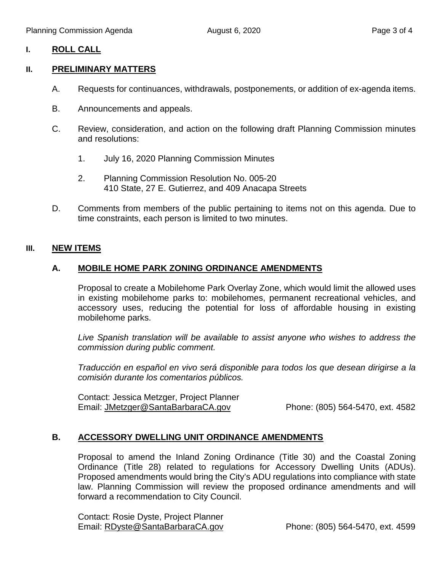### **I. ROLL CALL**

#### **II. PRELIMINARY MATTERS**

- A. Requests for continuances, withdrawals, postponements, or addition of ex-agenda items.
- B. Announcements and appeals.
- C. Review, consideration, and action on the following draft Planning Commission minutes and resolutions:
	- 1. July 16, 2020 Planning Commission Minutes
	- 2. Planning Commission Resolution No. 005-20 410 State, 27 E. Gutierrez, and 409 Anacapa Streets
- D. Comments from members of the public pertaining to items not on this agenda. Due to time constraints, each person is limited to two minutes.

#### **III. NEW ITEMS**

#### **A. MOBILE HOME PARK ZONING ORDINANCE AMENDMENTS**

Proposal to create a Mobilehome Park Overlay Zone, which would limit the allowed uses in existing mobilehome parks to: mobilehomes, permanent recreational vehicles, and accessory uses, reducing the potential for loss of affordable housing in existing mobilehome parks.

*Live Spanish translation will be available to assist anyone who wishes to address the commission during public comment.*

*Traducción en español en vivo será disponible para todos los que desean dirigirse a la comisión durante los comentarios públicos.*

Contact: Jessica Metzger, Project Planner Email: [JMetzger@SantaBarbaraCA.gov](mailto:JMetzger@SantaBarbaraCA.gov) Phone: (805) 564-5470, ext. 4582

### **B. ACCESSORY DWELLING UNIT ORDINANCE AMENDMENTS**

Proposal to amend the Inland Zoning Ordinance (Title 30) and the Coastal Zoning Ordinance (Title 28) related to regulations for Accessory Dwelling Units (ADUs). Proposed amendments would bring the City's ADU regulations into compliance with state law. Planning Commission will review the proposed ordinance amendments and will forward a recommendation to City Council.

Contact: Rosie Dyste, Project Planner Email: RDyste @ SantaBarbaraCA.gov Phone: (805) 564-5470, ext. 4599